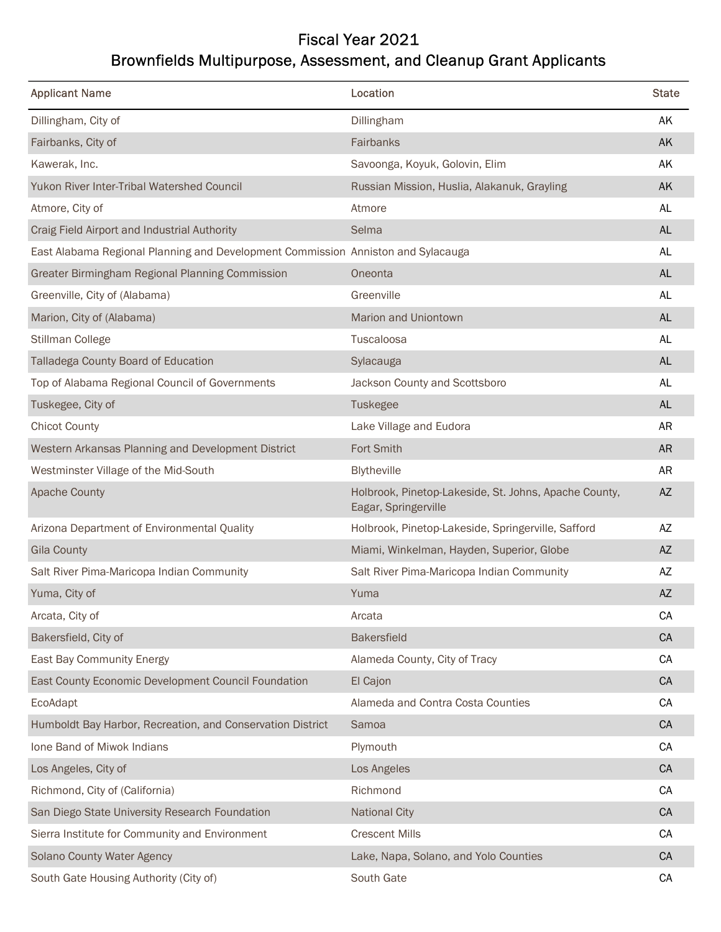## Fiscal Year 2021 Brownfields Multipurpose, Assessment, and Cleanup Grant Applicants

| <b>Applicant Name</b>                                                            | Location                                                                      | <b>State</b>  |
|----------------------------------------------------------------------------------|-------------------------------------------------------------------------------|---------------|
| Dillingham, City of                                                              | Dillingham                                                                    | AK            |
| Fairbanks, City of                                                               | Fairbanks                                                                     | AK            |
| Kawerak, Inc.                                                                    | Savoonga, Koyuk, Golovin, Elim                                                | AK            |
| Yukon River Inter-Tribal Watershed Council                                       | Russian Mission, Huslia, Alakanuk, Grayling                                   | AK            |
| Atmore, City of                                                                  | Atmore                                                                        | AL            |
| Craig Field Airport and Industrial Authority                                     | Selma                                                                         | <b>AL</b>     |
| East Alabama Regional Planning and Development Commission Anniston and Sylacauga |                                                                               | AL            |
| Greater Birmingham Regional Planning Commission                                  | Oneonta                                                                       | <b>AL</b>     |
| Greenville, City of (Alabama)                                                    | Greenville                                                                    | AL            |
| Marion, City of (Alabama)                                                        | Marion and Uniontown                                                          | AL            |
| Stillman College                                                                 | Tuscaloosa                                                                    | AL            |
| Talladega County Board of Education                                              | Sylacauga                                                                     | $\mathsf{AL}$ |
| Top of Alabama Regional Council of Governments                                   | Jackson County and Scottsboro                                                 | AL            |
| Tuskegee, City of                                                                | Tuskegee                                                                      | $\mathsf{AL}$ |
| <b>Chicot County</b>                                                             | Lake Village and Eudora                                                       | <b>AR</b>     |
| Western Arkansas Planning and Development District                               | Fort Smith                                                                    | ${\sf AR}$    |
| Westminster Village of the Mid-South                                             | Blytheville                                                                   | <b>AR</b>     |
| <b>Apache County</b>                                                             | Holbrook, Pinetop-Lakeside, St. Johns, Apache County,<br>Eagar, Springerville | $\mathsf{AZ}$ |
| Arizona Department of Environmental Quality                                      | Holbrook, Pinetop-Lakeside, Springerville, Safford                            | AZ            |
| <b>Gila County</b>                                                               | Miami, Winkelman, Hayden, Superior, Globe                                     | $\mathsf{AZ}$ |
| Salt River Pima-Maricopa Indian Community                                        | Salt River Pima-Maricopa Indian Community                                     | AZ            |
| Yuma, City of                                                                    | Yuma                                                                          | $\mathsf{AZ}$ |
| Arcata, City of                                                                  | Arcata                                                                        | CA            |
| Bakersfield, City of                                                             | Bakersfield                                                                   | ${\sf CA}$    |
| East Bay Community Energy                                                        | Alameda County, City of Tracy                                                 | CA            |
| East County Economic Development Council Foundation                              | El Cajon                                                                      | ${\sf CA}$    |
| EcoAdapt                                                                         | Alameda and Contra Costa Counties                                             | CA            |
| Humboldt Bay Harbor, Recreation, and Conservation District                       | Samoa                                                                         | CA            |
| Ione Band of Miwok Indians                                                       | Plymouth                                                                      | CA            |
| Los Angeles, City of                                                             | Los Angeles                                                                   | CA            |
| Richmond, City of (California)                                                   | Richmond                                                                      | CA            |
| San Diego State University Research Foundation                                   | <b>National City</b>                                                          | CA            |
| Sierra Institute for Community and Environment                                   | <b>Crescent Mills</b>                                                         | CA            |
| Solano County Water Agency                                                       | Lake, Napa, Solano, and Yolo Counties                                         | ${\sf CA}$    |
| South Gate Housing Authority (City of)                                           | South Gate                                                                    | CA            |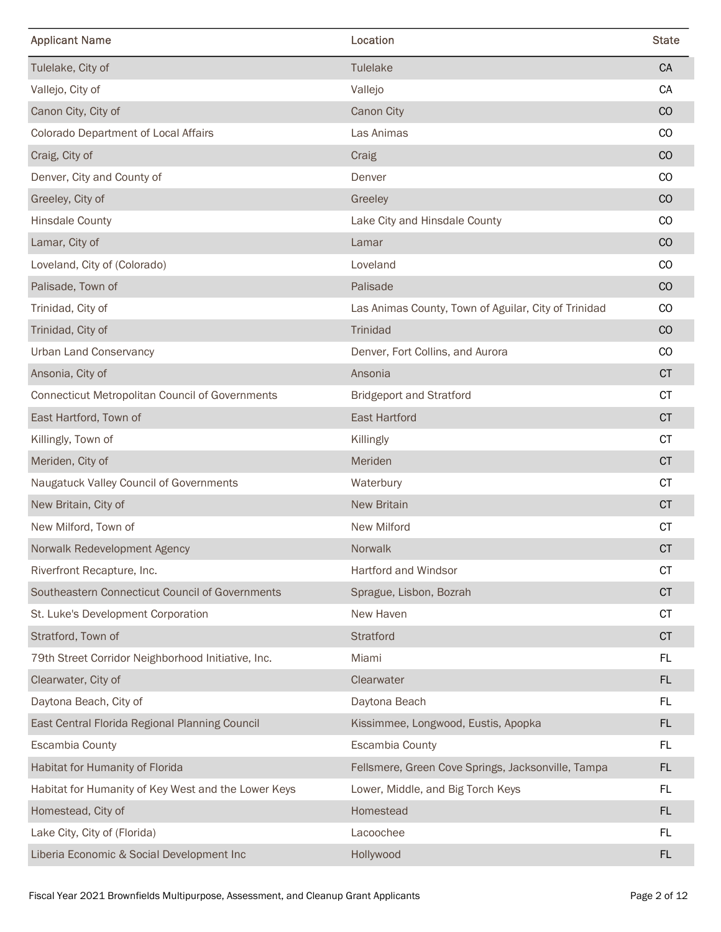| Tulelake<br>CA<br>Tulelake, City of<br>CA<br>Vallejo, City of<br>Vallejo<br>CO<br>Canon City, City of<br>Canon City<br>Colorado Department of Local Affairs<br>Las Animas<br>CO<br>CO<br>Craig, City of<br>Craig<br>Denver, City and County of<br>$_{\rm CO}$<br>Denver<br>Greeley, City of<br>Greeley<br>CO<br>Lake City and Hinsdale County<br><b>Hinsdale County</b><br>$_{\rm CO}$<br>Lamar, City of<br>CO<br>Lamar<br>Loveland, City of (Colorado)<br>Loveland<br>CO<br>CO<br>Palisade, Town of<br>Palisade<br>CO<br>Trinidad, City of<br>Las Animas County, Town of Aguilar, City of Trinidad<br>$_{\rm CO}$<br>Trinidad, City of<br>Trinidad<br>CO<br><b>Urban Land Conservancy</b><br>Denver, Fort Collins, and Aurora<br>$\mathsf{CT}$<br>Ansonia, City of<br>Ansonia<br>$\mathsf{CT}$<br><b>Connecticut Metropolitan Council of Governments</b><br><b>Bridgeport and Stratford</b><br>$\mathsf{C}\mathsf{T}$<br><b>East Hartford</b><br>East Hartford, Town of<br><b>CT</b><br>Killingly, Town of<br>Killingly<br>Meriden, City of<br>CT<br>Meriden<br>Naugatuck Valley Council of Governments<br><b>CT</b><br>Waterbury<br>$\mathsf{C}\mathsf{T}$<br>New Britain, City of<br>New Britain<br>New Milford<br><b>CT</b><br>New Milford, Town of<br>CT<br>Norwalk Redevelopment Agency<br>Norwalk<br>Hartford and Windsor<br>Riverfront Recapture, Inc.<br><b>CT</b><br>$\mathsf{C}\mathsf{T}$<br>Southeastern Connecticut Council of Governments<br>Sprague, Lisbon, Bozrah<br>CT<br>St. Luke's Development Corporation<br>New Haven<br>$\mathsf{CT}$<br>Stratford, Town of<br>Stratford<br>FL.<br>79th Street Corridor Neighborhood Initiative, Inc.<br>Miami<br>FL<br>Clearwater, City of<br>Clearwater<br>Daytona Beach, City of<br>Daytona Beach<br>FL.<br>East Central Florida Regional Planning Council<br>Kissimmee, Longwood, Eustis, Apopka<br>FL<br>Escambia County<br>FL.<br>Escambia County<br>Habitat for Humanity of Florida<br>Fellsmere, Green Cove Springs, Jacksonville, Tampa<br><b>FL</b><br>FL<br>Lower, Middle, and Big Torch Keys<br>Habitat for Humanity of Key West and the Lower Keys<br>FL<br>Homestead, City of<br>Homestead<br>FL<br>Lake City, City of (Florida)<br>Lacoochee<br>FL<br>Liberia Economic & Social Development Inc<br>Hollywood<br>Fiscal Year 2021 Brownfields Multipurpose, Assessment, and Cleanup Grant Applicants |                       |          |              |
|----------------------------------------------------------------------------------------------------------------------------------------------------------------------------------------------------------------------------------------------------------------------------------------------------------------------------------------------------------------------------------------------------------------------------------------------------------------------------------------------------------------------------------------------------------------------------------------------------------------------------------------------------------------------------------------------------------------------------------------------------------------------------------------------------------------------------------------------------------------------------------------------------------------------------------------------------------------------------------------------------------------------------------------------------------------------------------------------------------------------------------------------------------------------------------------------------------------------------------------------------------------------------------------------------------------------------------------------------------------------------------------------------------------------------------------------------------------------------------------------------------------------------------------------------------------------------------------------------------------------------------------------------------------------------------------------------------------------------------------------------------------------------------------------------------------------------------------------------------------------------------------------------------------------------------------------------------------------------------------------------------------------------------------------------------------------------------------------------------------------------------------------------------------------------------------------------------------------------------------------------------------------------------------------------------------------------------------------------------------------------|-----------------------|----------|--------------|
|                                                                                                                                                                                                                                                                                                                                                                                                                                                                                                                                                                                                                                                                                                                                                                                                                                                                                                                                                                                                                                                                                                                                                                                                                                                                                                                                                                                                                                                                                                                                                                                                                                                                                                                                                                                                                                                                                                                                                                                                                                                                                                                                                                                                                                                                                                                                                                            | <b>Applicant Name</b> | Location | <b>State</b> |
|                                                                                                                                                                                                                                                                                                                                                                                                                                                                                                                                                                                                                                                                                                                                                                                                                                                                                                                                                                                                                                                                                                                                                                                                                                                                                                                                                                                                                                                                                                                                                                                                                                                                                                                                                                                                                                                                                                                                                                                                                                                                                                                                                                                                                                                                                                                                                                            |                       |          |              |
|                                                                                                                                                                                                                                                                                                                                                                                                                                                                                                                                                                                                                                                                                                                                                                                                                                                                                                                                                                                                                                                                                                                                                                                                                                                                                                                                                                                                                                                                                                                                                                                                                                                                                                                                                                                                                                                                                                                                                                                                                                                                                                                                                                                                                                                                                                                                                                            |                       |          |              |
|                                                                                                                                                                                                                                                                                                                                                                                                                                                                                                                                                                                                                                                                                                                                                                                                                                                                                                                                                                                                                                                                                                                                                                                                                                                                                                                                                                                                                                                                                                                                                                                                                                                                                                                                                                                                                                                                                                                                                                                                                                                                                                                                                                                                                                                                                                                                                                            |                       |          |              |
|                                                                                                                                                                                                                                                                                                                                                                                                                                                                                                                                                                                                                                                                                                                                                                                                                                                                                                                                                                                                                                                                                                                                                                                                                                                                                                                                                                                                                                                                                                                                                                                                                                                                                                                                                                                                                                                                                                                                                                                                                                                                                                                                                                                                                                                                                                                                                                            |                       |          |              |
|                                                                                                                                                                                                                                                                                                                                                                                                                                                                                                                                                                                                                                                                                                                                                                                                                                                                                                                                                                                                                                                                                                                                                                                                                                                                                                                                                                                                                                                                                                                                                                                                                                                                                                                                                                                                                                                                                                                                                                                                                                                                                                                                                                                                                                                                                                                                                                            |                       |          |              |
|                                                                                                                                                                                                                                                                                                                                                                                                                                                                                                                                                                                                                                                                                                                                                                                                                                                                                                                                                                                                                                                                                                                                                                                                                                                                                                                                                                                                                                                                                                                                                                                                                                                                                                                                                                                                                                                                                                                                                                                                                                                                                                                                                                                                                                                                                                                                                                            |                       |          |              |
|                                                                                                                                                                                                                                                                                                                                                                                                                                                                                                                                                                                                                                                                                                                                                                                                                                                                                                                                                                                                                                                                                                                                                                                                                                                                                                                                                                                                                                                                                                                                                                                                                                                                                                                                                                                                                                                                                                                                                                                                                                                                                                                                                                                                                                                                                                                                                                            |                       |          |              |
|                                                                                                                                                                                                                                                                                                                                                                                                                                                                                                                                                                                                                                                                                                                                                                                                                                                                                                                                                                                                                                                                                                                                                                                                                                                                                                                                                                                                                                                                                                                                                                                                                                                                                                                                                                                                                                                                                                                                                                                                                                                                                                                                                                                                                                                                                                                                                                            |                       |          |              |
|                                                                                                                                                                                                                                                                                                                                                                                                                                                                                                                                                                                                                                                                                                                                                                                                                                                                                                                                                                                                                                                                                                                                                                                                                                                                                                                                                                                                                                                                                                                                                                                                                                                                                                                                                                                                                                                                                                                                                                                                                                                                                                                                                                                                                                                                                                                                                                            |                       |          |              |
|                                                                                                                                                                                                                                                                                                                                                                                                                                                                                                                                                                                                                                                                                                                                                                                                                                                                                                                                                                                                                                                                                                                                                                                                                                                                                                                                                                                                                                                                                                                                                                                                                                                                                                                                                                                                                                                                                                                                                                                                                                                                                                                                                                                                                                                                                                                                                                            |                       |          |              |
|                                                                                                                                                                                                                                                                                                                                                                                                                                                                                                                                                                                                                                                                                                                                                                                                                                                                                                                                                                                                                                                                                                                                                                                                                                                                                                                                                                                                                                                                                                                                                                                                                                                                                                                                                                                                                                                                                                                                                                                                                                                                                                                                                                                                                                                                                                                                                                            |                       |          |              |
|                                                                                                                                                                                                                                                                                                                                                                                                                                                                                                                                                                                                                                                                                                                                                                                                                                                                                                                                                                                                                                                                                                                                                                                                                                                                                                                                                                                                                                                                                                                                                                                                                                                                                                                                                                                                                                                                                                                                                                                                                                                                                                                                                                                                                                                                                                                                                                            |                       |          |              |
|                                                                                                                                                                                                                                                                                                                                                                                                                                                                                                                                                                                                                                                                                                                                                                                                                                                                                                                                                                                                                                                                                                                                                                                                                                                                                                                                                                                                                                                                                                                                                                                                                                                                                                                                                                                                                                                                                                                                                                                                                                                                                                                                                                                                                                                                                                                                                                            |                       |          |              |
|                                                                                                                                                                                                                                                                                                                                                                                                                                                                                                                                                                                                                                                                                                                                                                                                                                                                                                                                                                                                                                                                                                                                                                                                                                                                                                                                                                                                                                                                                                                                                                                                                                                                                                                                                                                                                                                                                                                                                                                                                                                                                                                                                                                                                                                                                                                                                                            |                       |          |              |
|                                                                                                                                                                                                                                                                                                                                                                                                                                                                                                                                                                                                                                                                                                                                                                                                                                                                                                                                                                                                                                                                                                                                                                                                                                                                                                                                                                                                                                                                                                                                                                                                                                                                                                                                                                                                                                                                                                                                                                                                                                                                                                                                                                                                                                                                                                                                                                            |                       |          |              |
|                                                                                                                                                                                                                                                                                                                                                                                                                                                                                                                                                                                                                                                                                                                                                                                                                                                                                                                                                                                                                                                                                                                                                                                                                                                                                                                                                                                                                                                                                                                                                                                                                                                                                                                                                                                                                                                                                                                                                                                                                                                                                                                                                                                                                                                                                                                                                                            |                       |          |              |
|                                                                                                                                                                                                                                                                                                                                                                                                                                                                                                                                                                                                                                                                                                                                                                                                                                                                                                                                                                                                                                                                                                                                                                                                                                                                                                                                                                                                                                                                                                                                                                                                                                                                                                                                                                                                                                                                                                                                                                                                                                                                                                                                                                                                                                                                                                                                                                            |                       |          |              |
|                                                                                                                                                                                                                                                                                                                                                                                                                                                                                                                                                                                                                                                                                                                                                                                                                                                                                                                                                                                                                                                                                                                                                                                                                                                                                                                                                                                                                                                                                                                                                                                                                                                                                                                                                                                                                                                                                                                                                                                                                                                                                                                                                                                                                                                                                                                                                                            |                       |          |              |
|                                                                                                                                                                                                                                                                                                                                                                                                                                                                                                                                                                                                                                                                                                                                                                                                                                                                                                                                                                                                                                                                                                                                                                                                                                                                                                                                                                                                                                                                                                                                                                                                                                                                                                                                                                                                                                                                                                                                                                                                                                                                                                                                                                                                                                                                                                                                                                            |                       |          |              |
|                                                                                                                                                                                                                                                                                                                                                                                                                                                                                                                                                                                                                                                                                                                                                                                                                                                                                                                                                                                                                                                                                                                                                                                                                                                                                                                                                                                                                                                                                                                                                                                                                                                                                                                                                                                                                                                                                                                                                                                                                                                                                                                                                                                                                                                                                                                                                                            |                       |          |              |
|                                                                                                                                                                                                                                                                                                                                                                                                                                                                                                                                                                                                                                                                                                                                                                                                                                                                                                                                                                                                                                                                                                                                                                                                                                                                                                                                                                                                                                                                                                                                                                                                                                                                                                                                                                                                                                                                                                                                                                                                                                                                                                                                                                                                                                                                                                                                                                            |                       |          |              |
|                                                                                                                                                                                                                                                                                                                                                                                                                                                                                                                                                                                                                                                                                                                                                                                                                                                                                                                                                                                                                                                                                                                                                                                                                                                                                                                                                                                                                                                                                                                                                                                                                                                                                                                                                                                                                                                                                                                                                                                                                                                                                                                                                                                                                                                                                                                                                                            |                       |          |              |
|                                                                                                                                                                                                                                                                                                                                                                                                                                                                                                                                                                                                                                                                                                                                                                                                                                                                                                                                                                                                                                                                                                                                                                                                                                                                                                                                                                                                                                                                                                                                                                                                                                                                                                                                                                                                                                                                                                                                                                                                                                                                                                                                                                                                                                                                                                                                                                            |                       |          |              |
|                                                                                                                                                                                                                                                                                                                                                                                                                                                                                                                                                                                                                                                                                                                                                                                                                                                                                                                                                                                                                                                                                                                                                                                                                                                                                                                                                                                                                                                                                                                                                                                                                                                                                                                                                                                                                                                                                                                                                                                                                                                                                                                                                                                                                                                                                                                                                                            |                       |          |              |
|                                                                                                                                                                                                                                                                                                                                                                                                                                                                                                                                                                                                                                                                                                                                                                                                                                                                                                                                                                                                                                                                                                                                                                                                                                                                                                                                                                                                                                                                                                                                                                                                                                                                                                                                                                                                                                                                                                                                                                                                                                                                                                                                                                                                                                                                                                                                                                            |                       |          |              |
|                                                                                                                                                                                                                                                                                                                                                                                                                                                                                                                                                                                                                                                                                                                                                                                                                                                                                                                                                                                                                                                                                                                                                                                                                                                                                                                                                                                                                                                                                                                                                                                                                                                                                                                                                                                                                                                                                                                                                                                                                                                                                                                                                                                                                                                                                                                                                                            |                       |          |              |
|                                                                                                                                                                                                                                                                                                                                                                                                                                                                                                                                                                                                                                                                                                                                                                                                                                                                                                                                                                                                                                                                                                                                                                                                                                                                                                                                                                                                                                                                                                                                                                                                                                                                                                                                                                                                                                                                                                                                                                                                                                                                                                                                                                                                                                                                                                                                                                            |                       |          |              |
|                                                                                                                                                                                                                                                                                                                                                                                                                                                                                                                                                                                                                                                                                                                                                                                                                                                                                                                                                                                                                                                                                                                                                                                                                                                                                                                                                                                                                                                                                                                                                                                                                                                                                                                                                                                                                                                                                                                                                                                                                                                                                                                                                                                                                                                                                                                                                                            |                       |          |              |
|                                                                                                                                                                                                                                                                                                                                                                                                                                                                                                                                                                                                                                                                                                                                                                                                                                                                                                                                                                                                                                                                                                                                                                                                                                                                                                                                                                                                                                                                                                                                                                                                                                                                                                                                                                                                                                                                                                                                                                                                                                                                                                                                                                                                                                                                                                                                                                            |                       |          |              |
|                                                                                                                                                                                                                                                                                                                                                                                                                                                                                                                                                                                                                                                                                                                                                                                                                                                                                                                                                                                                                                                                                                                                                                                                                                                                                                                                                                                                                                                                                                                                                                                                                                                                                                                                                                                                                                                                                                                                                                                                                                                                                                                                                                                                                                                                                                                                                                            |                       |          |              |
|                                                                                                                                                                                                                                                                                                                                                                                                                                                                                                                                                                                                                                                                                                                                                                                                                                                                                                                                                                                                                                                                                                                                                                                                                                                                                                                                                                                                                                                                                                                                                                                                                                                                                                                                                                                                                                                                                                                                                                                                                                                                                                                                                                                                                                                                                                                                                                            |                       |          |              |
|                                                                                                                                                                                                                                                                                                                                                                                                                                                                                                                                                                                                                                                                                                                                                                                                                                                                                                                                                                                                                                                                                                                                                                                                                                                                                                                                                                                                                                                                                                                                                                                                                                                                                                                                                                                                                                                                                                                                                                                                                                                                                                                                                                                                                                                                                                                                                                            |                       |          |              |
|                                                                                                                                                                                                                                                                                                                                                                                                                                                                                                                                                                                                                                                                                                                                                                                                                                                                                                                                                                                                                                                                                                                                                                                                                                                                                                                                                                                                                                                                                                                                                                                                                                                                                                                                                                                                                                                                                                                                                                                                                                                                                                                                                                                                                                                                                                                                                                            |                       |          |              |
|                                                                                                                                                                                                                                                                                                                                                                                                                                                                                                                                                                                                                                                                                                                                                                                                                                                                                                                                                                                                                                                                                                                                                                                                                                                                                                                                                                                                                                                                                                                                                                                                                                                                                                                                                                                                                                                                                                                                                                                                                                                                                                                                                                                                                                                                                                                                                                            |                       |          |              |
|                                                                                                                                                                                                                                                                                                                                                                                                                                                                                                                                                                                                                                                                                                                                                                                                                                                                                                                                                                                                                                                                                                                                                                                                                                                                                                                                                                                                                                                                                                                                                                                                                                                                                                                                                                                                                                                                                                                                                                                                                                                                                                                                                                                                                                                                                                                                                                            |                       |          |              |
|                                                                                                                                                                                                                                                                                                                                                                                                                                                                                                                                                                                                                                                                                                                                                                                                                                                                                                                                                                                                                                                                                                                                                                                                                                                                                                                                                                                                                                                                                                                                                                                                                                                                                                                                                                                                                                                                                                                                                                                                                                                                                                                                                                                                                                                                                                                                                                            |                       |          |              |
|                                                                                                                                                                                                                                                                                                                                                                                                                                                                                                                                                                                                                                                                                                                                                                                                                                                                                                                                                                                                                                                                                                                                                                                                                                                                                                                                                                                                                                                                                                                                                                                                                                                                                                                                                                                                                                                                                                                                                                                                                                                                                                                                                                                                                                                                                                                                                                            |                       |          |              |
|                                                                                                                                                                                                                                                                                                                                                                                                                                                                                                                                                                                                                                                                                                                                                                                                                                                                                                                                                                                                                                                                                                                                                                                                                                                                                                                                                                                                                                                                                                                                                                                                                                                                                                                                                                                                                                                                                                                                                                                                                                                                                                                                                                                                                                                                                                                                                                            |                       |          | Page 2 of 12 |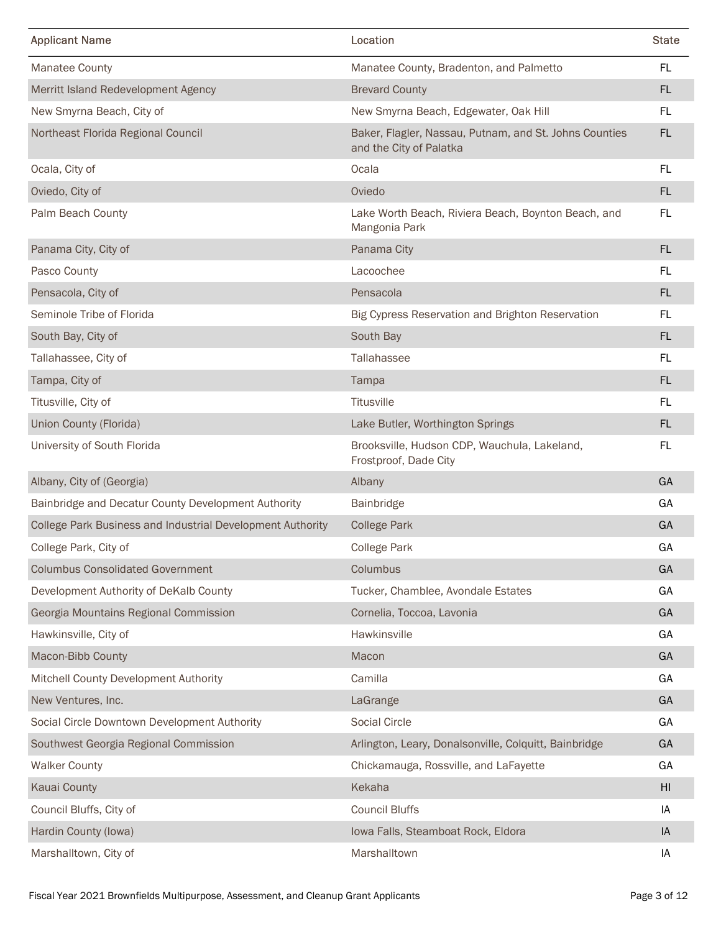| <b>Applicant Name</b>                                              | Location                                                                          | <b>State</b> |
|--------------------------------------------------------------------|-----------------------------------------------------------------------------------|--------------|
| Manatee County                                                     | Manatee County, Bradenton, and Palmetto                                           | FL.          |
| Merritt Island Redevelopment Agency                                | <b>Brevard County</b>                                                             | FL.          |
| New Smyrna Beach, City of                                          | New Smyrna Beach, Edgewater, Oak Hill                                             | FL.          |
| Northeast Florida Regional Council                                 | Baker, Flagler, Nassau, Putnam, and St. Johns Counties<br>and the City of Palatka | FL.          |
| Ocala, City of                                                     | Ocala                                                                             | FL.          |
| Oviedo, City of                                                    | Oviedo                                                                            | FL.          |
| Palm Beach County                                                  | Lake Worth Beach, Riviera Beach, Boynton Beach, and<br>Mangonia Park              | FL.          |
| Panama City, City of                                               | Panama City                                                                       | FL.          |
| Pasco County                                                       | Lacoochee                                                                         | FL.          |
| Pensacola, City of                                                 | Pensacola                                                                         | FL.          |
| Seminole Tribe of Florida                                          | Big Cypress Reservation and Brighton Reservation                                  | FL.          |
| South Bay, City of                                                 | South Bay                                                                         | FL           |
| Tallahassee, City of                                               | Tallahassee                                                                       | FL.          |
| Tampa, City of                                                     | Tampa                                                                             | FL           |
| Titusville, City of                                                | Titusville                                                                        | FL.          |
| Union County (Florida)                                             | Lake Butler, Worthington Springs                                                  | FL           |
| University of South Florida                                        | Brooksville, Hudson CDP, Wauchula, Lakeland,<br>Frostproof, Dade City             | FL.          |
| Albany, City of (Georgia)                                          | Albany                                                                            | GA           |
| Bainbridge and Decatur County Development Authority                | Bainbridge                                                                        | GA           |
| College Park Business and Industrial Development Authority         | <b>College Park</b>                                                               | GA           |
| College Park, City of                                              | <b>College Park</b>                                                               | GA           |
| <b>Columbus Consolidated Government</b>                            | Columbus                                                                          | GA           |
| Development Authority of DeKalb County                             | Tucker, Chamblee, Avondale Estates                                                | GA           |
| Georgia Mountains Regional Commission                              | Cornelia, Toccoa, Lavonia                                                         | GA           |
| Hawkinsville, City of                                              | Hawkinsville                                                                      | GA           |
| Macon-Bibb County                                                  | Macon                                                                             | GA           |
| Mitchell County Development Authority                              | Camilla                                                                           | GA<br>GA     |
| New Ventures, Inc.<br>Social Circle Downtown Development Authority | LaGrange<br>Social Circle                                                         | GA           |
| Southwest Georgia Regional Commission                              | Arlington, Leary, Donalsonville, Colquitt, Bainbridge                             | GA           |
| <b>Walker County</b>                                               | Chickamauga, Rossville, and LaFayette                                             | GA           |
| Kauai County                                                       | Kekaha                                                                            | HI           |
| Council Bluffs, City of                                            | <b>Council Bluffs</b>                                                             | IA           |
| Hardin County (lowa)                                               | Iowa Falls, Steamboat Rock, Eldora                                                | IA           |
|                                                                    | Marshalltown                                                                      | IA           |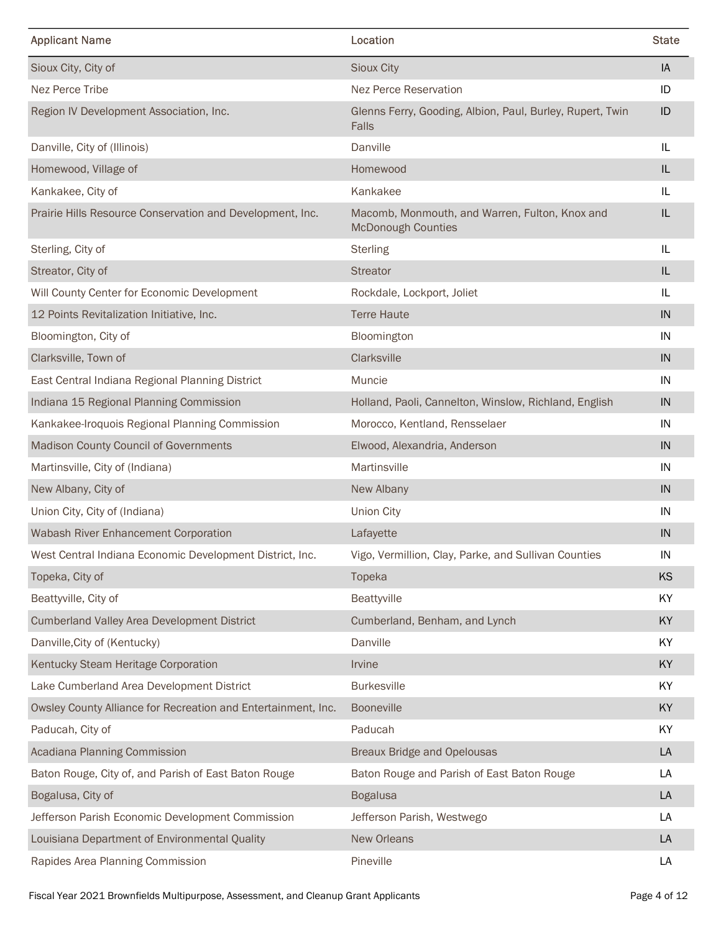| <b>Applicant Name</b>                                                                                                   | Location                                                                    | <b>State</b>       |
|-------------------------------------------------------------------------------------------------------------------------|-----------------------------------------------------------------------------|--------------------|
| Sioux City, City of                                                                                                     | Sioux City                                                                  | IA                 |
| Nez Perce Tribe                                                                                                         | Nez Perce Reservation                                                       | ID                 |
| Region IV Development Association, Inc.                                                                                 | Glenns Ferry, Gooding, Albion, Paul, Burley, Rupert, Twin<br>Falls          | ID                 |
| Danville, City of (Illinois)                                                                                            | Danville                                                                    | IL                 |
| Homewood, Village of                                                                                                    | Homewood                                                                    | IL.                |
| Kankakee, City of                                                                                                       | Kankakee                                                                    | IL.                |
| Prairie Hills Resource Conservation and Development, Inc.                                                               | Macomb, Monmouth, and Warren, Fulton, Knox and<br><b>McDonough Counties</b> | IL                 |
| Sterling, City of                                                                                                       | <b>Sterling</b>                                                             | IL                 |
| Streator, City of                                                                                                       | <b>Streator</b>                                                             | IL                 |
| Will County Center for Economic Development                                                                             | Rockdale, Lockport, Joliet                                                  | IL                 |
| 12 Points Revitalization Initiative, Inc.                                                                               | <b>Terre Haute</b>                                                          | IN                 |
| Bloomington, City of                                                                                                    | Bloomington                                                                 | IN                 |
| Clarksville, Town of                                                                                                    | Clarksville                                                                 | IN                 |
| East Central Indiana Regional Planning District                                                                         | Muncie                                                                      | IN                 |
| Indiana 15 Regional Planning Commission                                                                                 | Holland, Paoli, Cannelton, Winslow, Richland, English                       | $\sf IN$           |
| Kankakee-Iroquois Regional Planning Commission                                                                          | Morocco, Kentland, Rensselaer                                               | IN                 |
| Madison County Council of Governments                                                                                   | Elwood, Alexandria, Anderson                                                | IN                 |
| Martinsville, City of (Indiana)                                                                                         | Martinsville                                                                | IN                 |
| New Albany, City of                                                                                                     | New Albany                                                                  | IN                 |
| Union City, City of (Indiana)                                                                                           | <b>Union City</b>                                                           | IN                 |
| Wabash River Enhancement Corporation                                                                                    | Lafayette                                                                   | $\sf IN$           |
| West Central Indiana Economic Development District, Inc.                                                                | Vigo, Vermillion, Clay, Parke, and Sullivan Counties                        | IN                 |
| Topeka, City of                                                                                                         | Topeka                                                                      | KS                 |
| Beattyville, City of                                                                                                    | Beattyville                                                                 | KY                 |
| <b>Cumberland Valley Area Development District</b>                                                                      | Cumberland, Benham, and Lynch                                               | KY                 |
| Danville, City of (Kentucky)                                                                                            | Danville                                                                    | KY                 |
| Kentucky Steam Heritage Corporation                                                                                     | Irvine                                                                      | KY                 |
| Lake Cumberland Area Development District                                                                               | <b>Burkesville</b>                                                          | KY                 |
| Owsley County Alliance for Recreation and Entertainment, Inc.                                                           | Booneville                                                                  | KY                 |
| Paducah, City of                                                                                                        | Paducah                                                                     | KY                 |
| Acadiana Planning Commission                                                                                            | <b>Breaux Bridge and Opelousas</b>                                          | LA                 |
| Baton Rouge, City of, and Parish of East Baton Rouge                                                                    | Baton Rouge and Parish of East Baton Rouge                                  | LA                 |
| Bogalusa, City of                                                                                                       | <b>Bogalusa</b>                                                             | LA                 |
|                                                                                                                         |                                                                             |                    |
| Jefferson Parish Economic Development Commission                                                                        | Jefferson Parish, Westwego                                                  | LA                 |
| Louisiana Department of Environmental Quality                                                                           | New Orleans                                                                 | ${\sf LA}$         |
| Rapides Area Planning Commission<br>Fiscal Year 2021 Brownfields Multipurpose, Assessment, and Cleanup Grant Applicants | Pineville                                                                   | LA<br>Page 4 of 12 |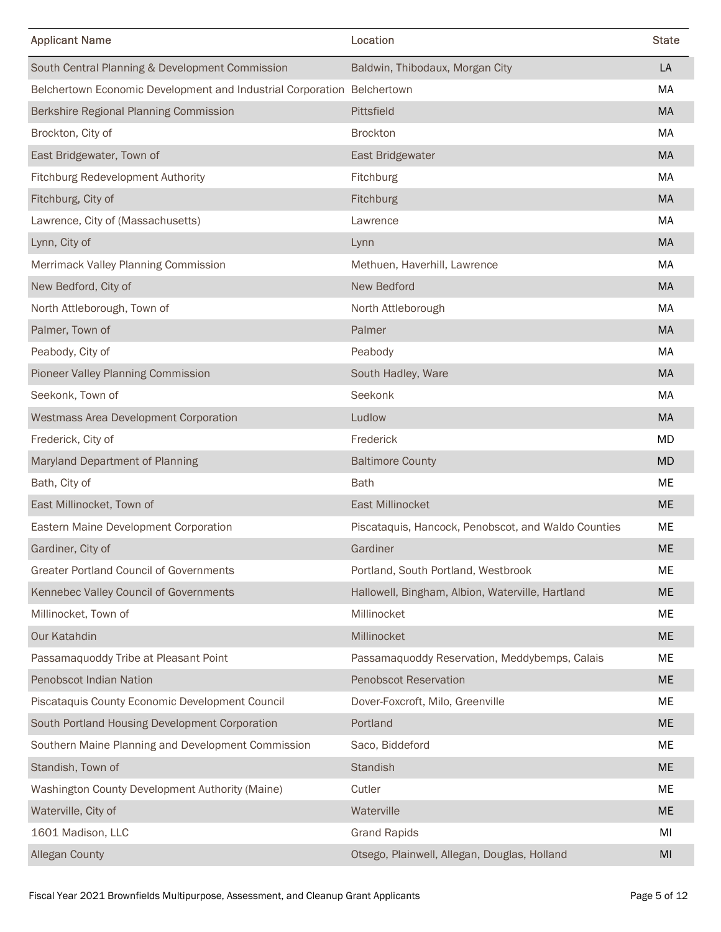| <b>Applicant Name</b><br>Location                                                            | <b>State</b>                                                                                                |
|----------------------------------------------------------------------------------------------|-------------------------------------------------------------------------------------------------------------|
| South Central Planning & Development Commission<br>Baldwin, Thibodaux, Morgan City           | LA                                                                                                          |
| Belchertown Economic Development and Industrial Corporation Belchertown                      | MA                                                                                                          |
| Berkshire Regional Planning Commission<br>Pittsfield                                         | <b>MA</b>                                                                                                   |
| Brockton, City of<br>Brockton                                                                | MA                                                                                                          |
| East Bridgewater, Town of<br>East Bridgewater                                                | MA                                                                                                          |
| Fitchburg Redevelopment Authority<br>Fitchburg                                               | МA                                                                                                          |
| Fitchburg, City of<br>Fitchburg                                                              | MA                                                                                                          |
| Lawrence, City of (Massachusetts)<br>Lawrence                                                | МA                                                                                                          |
| Lynn, City of<br>Lynn                                                                        | <b>MA</b>                                                                                                   |
| Methuen, Haverhill, Lawrence<br>Merrimack Valley Planning Commission                         | MA                                                                                                          |
| New Bedford, City of<br>New Bedford                                                          | MA                                                                                                          |
| North Attleborough, Town of<br>North Attleborough                                            | МA                                                                                                          |
| Palmer, Town of<br>Palmer                                                                    | MA                                                                                                          |
| Peabody, City of<br>Peabody                                                                  | MA                                                                                                          |
| Pioneer Valley Planning Commission<br>South Hadley, Ware                                     | MA                                                                                                          |
| Seekonk, Town of<br>Seekonk                                                                  | MA                                                                                                          |
| Westmass Area Development Corporation<br>Ludlow                                              | MA                                                                                                          |
| Frederick, City of<br>Frederick                                                              | MD                                                                                                          |
| Maryland Department of Planning<br><b>Baltimore County</b>                                   | MD                                                                                                          |
| Bath, City of<br><b>Bath</b>                                                                 | ME                                                                                                          |
| East Millinocket, Town of<br>East Millinocket                                                | $ME$                                                                                                        |
| Eastern Maine Development Corporation<br>Piscataquis, Hancock, Penobscot, and Waldo Counties | ME                                                                                                          |
| Gardiner, City of<br>Gardiner                                                                | $\sf ME$                                                                                                    |
| <b>Greater Portland Council of Governments</b><br>Portland, South Portland, Westbrook        | ME                                                                                                          |
| Kennebec Valley Council of Governments<br>Hallowell, Bingham, Albion, Waterville, Hartland   | ME                                                                                                          |
| Millinocket, Town of<br>Millinocket                                                          | ME                                                                                                          |
| Our Katahdin<br>Millinocket                                                                  | ME                                                                                                          |
| Passamaquoddy Tribe at Pleasant Point<br>Passamaquoddy Reservation, Meddybemps, Calais       | ME                                                                                                          |
| Penobscot Indian Nation<br>Penobscot Reservation                                             | ME                                                                                                          |
| Piscataquis County Economic Development Council<br>Dover-Foxcroft, Milo, Greenville          | ME                                                                                                          |
| South Portland Housing Development Corporation<br>Portland                                   | ME                                                                                                          |
|                                                                                              |                                                                                                             |
| Southern Maine Planning and Development Commission<br>Saco, Biddeford                        | ME                                                                                                          |
| Standish, Town of<br>Standish                                                                | ME                                                                                                          |
| Cutler<br>Washington County Development Authority (Maine)                                    | ME                                                                                                          |
| Waterville<br>Waterville, City of                                                            | $\sf ME$                                                                                                    |
| 1601 Madison, LLC<br><b>Grand Rapids</b>                                                     | MI                                                                                                          |
| <b>Allegan County</b><br>Otsego, Plainwell, Allegan, Douglas, Holland                        | $\mathsf{MI}% _{T}=\mathsf{M}_{T}\!\left( a,b\right) ,\ \mathsf{M}_{T}=\mathsf{M}_{T}\!\left( a,b\right) ,$ |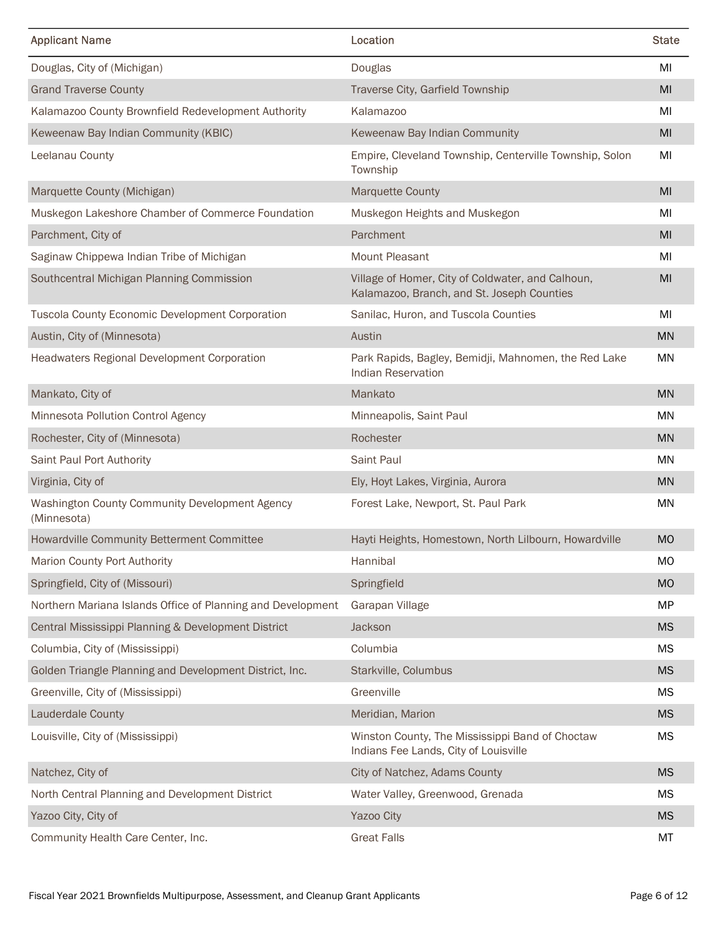| <b>Applicant Name</b><br>Location                              |                                                                                                 | <b>State</b>  |
|----------------------------------------------------------------|-------------------------------------------------------------------------------------------------|---------------|
| Douglas, City of (Michigan)<br>Douglas                         |                                                                                                 | MI            |
| <b>Grand Traverse County</b>                                   | Traverse City, Garfield Township                                                                | MI            |
| Kalamazoo County Brownfield Redevelopment Authority            | Kalamazoo                                                                                       | MI            |
| Keweenaw Bay Indian Community (KBIC)                           | Keweenaw Bay Indian Community                                                                   | MI            |
| Leelanau County<br>Township                                    | Empire, Cleveland Township, Centerville Township, Solon                                         | MI            |
| Marquette County (Michigan)                                    | <b>Marquette County</b>                                                                         | MI            |
| Muskegon Lakeshore Chamber of Commerce Foundation              | Muskegon Heights and Muskegon                                                                   | MI            |
| Parchment, City of                                             | Parchment                                                                                       | MI            |
| Saginaw Chippewa Indian Tribe of Michigan                      | Mount Pleasant                                                                                  | MI            |
| Southcentral Michigan Planning Commission                      | Village of Homer, City of Coldwater, and Calhoun,<br>Kalamazoo, Branch, and St. Joseph Counties | MI            |
| Tuscola County Economic Development Corporation                | Sanilac, Huron, and Tuscola Counties                                                            | MI            |
| Austin, City of (Minnesota)<br>Austin                          |                                                                                                 | $\mathsf{MN}$ |
| Headwaters Regional Development Corporation                    | Park Rapids, Bagley, Bemidji, Mahnomen, the Red Lake<br><b>Indian Reservation</b>               | MN            |
| Mankato, City of<br>Mankato                                    |                                                                                                 | MN            |
| Minnesota Pollution Control Agency                             | Minneapolis, Saint Paul                                                                         | <b>MN</b>     |
| Rochester, City of (Minnesota)                                 | Rochester                                                                                       | MN            |
| Saint Paul Port Authority                                      | Saint Paul                                                                                      | MN            |
| Virginia, City of                                              | Ely, Hoyt Lakes, Virginia, Aurora                                                               | MN            |
| Washington County Community Development Agency<br>(Minnesota)  | Forest Lake, Newport, St. Paul Park                                                             | MN            |
| Howardville Community Betterment Committee                     | Hayti Heights, Homestown, North Lilbourn, Howardville                                           | <b>MO</b>     |
| Marion County Port Authority<br>Hannibal                       |                                                                                                 | MO            |
| Springfield, City of (Missouri)                                | Springfield                                                                                     | <b>MO</b>     |
| Northern Mariana Islands Office of Planning and Development    | Garapan Village                                                                                 | <b>MP</b>     |
| Central Mississippi Planning & Development District<br>Jackson |                                                                                                 | <b>MS</b>     |
| Columbia<br>Columbia, City of (Mississippi)                    |                                                                                                 | <b>MS</b>     |
| Golden Triangle Planning and Development District, Inc.        | Starkville, Columbus                                                                            | <b>MS</b>     |
| Greenville, City of (Mississippi)                              | Greenville                                                                                      | <b>MS</b>     |
| <b>Lauderdale County</b>                                       | Meridian, Marion                                                                                | <b>MS</b>     |
| Louisville, City of (Mississippi)                              | Winston County, The Mississippi Band of Choctaw<br>Indians Fee Lands, City of Louisville        | МS            |
| Natchez, City of                                               | City of Natchez, Adams County                                                                   | <b>MS</b>     |
| North Central Planning and Development District                | Water Valley, Greenwood, Grenada                                                                | MS            |
|                                                                | Yazoo City                                                                                      | MS            |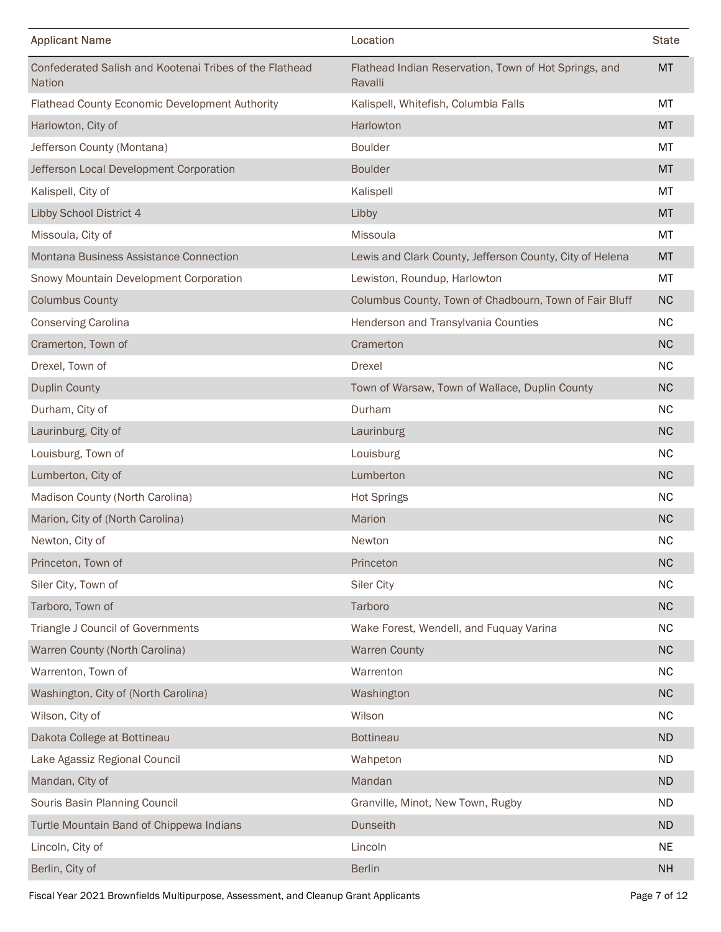| <b>Applicant Name</b>                                                               | Location                                                         | <b>State</b>    |
|-------------------------------------------------------------------------------------|------------------------------------------------------------------|-----------------|
| Confederated Salish and Kootenai Tribes of the Flathead<br>Nation                   | Flathead Indian Reservation, Town of Hot Springs, and<br>Ravalli | <b>MT</b>       |
| Flathead County Economic Development Authority                                      | Kalispell, Whitefish, Columbia Falls                             | MT              |
| Harlowton, City of                                                                  | Harlowton                                                        | <b>MT</b>       |
| Jefferson County (Montana)                                                          | <b>Boulder</b>                                                   | <b>MT</b>       |
| Jefferson Local Development Corporation                                             | <b>Boulder</b>                                                   | <b>MT</b>       |
| Kalispell, City of                                                                  | Kalispell                                                        | MT              |
| Libby School District 4                                                             | Libby                                                            | <b>MT</b>       |
| Missoula, City of                                                                   | Missoula                                                         | MT              |
| Montana Business Assistance Connection                                              | Lewis and Clark County, Jefferson County, City of Helena         | <b>MT</b>       |
| Snowy Mountain Development Corporation                                              | Lewiston, Roundup, Harlowton                                     | MT              |
| <b>Columbus County</b>                                                              | Columbus County, Town of Chadbourn, Town of Fair Bluff           | ${\sf NC}$      |
| Conserving Carolina                                                                 | Henderson and Transylvania Counties                              | ${\sf NC}$      |
| Cramerton, Town of                                                                  | Cramerton                                                        | ${\sf NC}$      |
| Drexel, Town of                                                                     | Drexel                                                           | ${\sf NC}$      |
| <b>Duplin County</b>                                                                | Town of Warsaw, Town of Wallace, Duplin County                   | ${\sf NC}$      |
| Durham, City of                                                                     | Durham                                                           | $\sf NC$        |
| Laurinburg, City of                                                                 | Laurinburg                                                       | ${\sf NC}$      |
| Louisburg, Town of                                                                  | Louisburg                                                        | $\sf NC$        |
| Lumberton, City of                                                                  | Lumberton                                                        | ${\sf NC}$      |
| Madison County (North Carolina)                                                     | <b>Hot Springs</b>                                               | ${\sf NC}$      |
| Marion, City of (North Carolina)                                                    | Marion                                                           | ${\sf NC}$      |
| Newton, City of                                                                     | Newton                                                           | $\sf NC$        |
| Princeton, Town of                                                                  | Princeton                                                        | ${\sf NC}$      |
| Siler City, Town of                                                                 | Siler City                                                       | $\sf NC$        |
| Tarboro, Town of                                                                    | Tarboro                                                          | ${\sf NC}$      |
| Triangle J Council of Governments                                                   | Wake Forest, Wendell, and Fuquay Varina                          | ${\sf NC}$      |
| Warren County (North Carolina)                                                      | <b>Warren County</b>                                             | $\sf NC$        |
| Warrenton, Town of                                                                  | Warrenton                                                        | ${\sf NC}$      |
| Washington, City of (North Carolina)                                                | Washington                                                       | $\sf NC$        |
| Wilson, City of                                                                     | Wilson                                                           | ${\sf NC}$      |
| Dakota College at Bottineau                                                         | <b>Bottineau</b>                                                 | <b>ND</b>       |
| Lake Agassiz Regional Council                                                       | Wahpeton                                                         | <b>ND</b>       |
| Mandan, City of                                                                     | Mandan                                                           | <b>ND</b>       |
| Souris Basin Planning Council                                                       | Granville, Minot, New Town, Rugby                                | <b>ND</b>       |
| Turtle Mountain Band of Chippewa Indians                                            | Dunseith                                                         | $\sf ND$        |
| Lincoln, City of                                                                    | Lincoln                                                          | <b>NE</b>       |
| Berlin, City of                                                                     | Berlin                                                           | $\mathsf{NH}\,$ |
| Fiscal Year 2021 Brownfields Multipurpose, Assessment, and Cleanup Grant Applicants |                                                                  | Page 7 of 12    |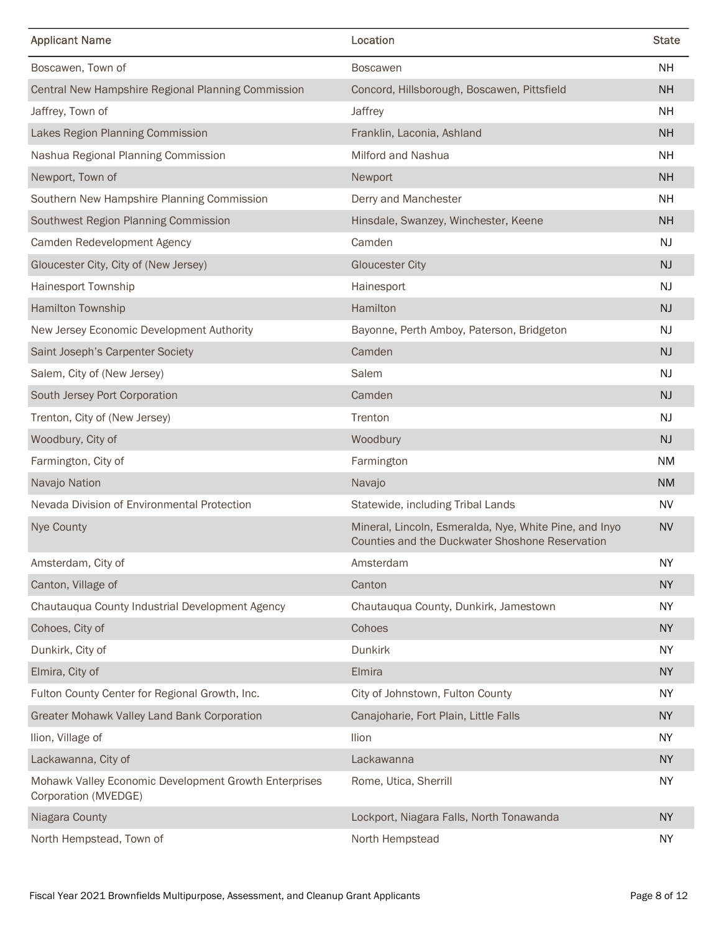| <b>Applicant Name</b>                                                         | Location                                                                                                  | <b>State</b>  |
|-------------------------------------------------------------------------------|-----------------------------------------------------------------------------------------------------------|---------------|
| Boscawen, Town of                                                             | <b>Boscawen</b>                                                                                           | <b>NH</b>     |
| Central New Hampshire Regional Planning Commission                            | Concord, Hillsborough, Boscawen, Pittsfield                                                               | <b>NH</b>     |
| Jaffrey, Town of                                                              | Jaffrey                                                                                                   | <b>NH</b>     |
| Lakes Region Planning Commission                                              | Franklin, Laconia, Ashland                                                                                | <b>NH</b>     |
| Nashua Regional Planning Commission                                           | Milford and Nashua                                                                                        | <b>NH</b>     |
| Newport, Town of                                                              | Newport                                                                                                   | <b>NH</b>     |
| Southern New Hampshire Planning Commission                                    | Derry and Manchester                                                                                      | <b>NH</b>     |
| Southwest Region Planning Commission                                          | Hinsdale, Swanzey, Winchester, Keene                                                                      | <b>NH</b>     |
| Camden Redevelopment Agency                                                   | Camden                                                                                                    | NJ            |
| Gloucester City, City of (New Jersey)                                         | <b>Gloucester City</b>                                                                                    | NJ            |
| Hainesport Township                                                           | Hainesport                                                                                                | NJ            |
| Hamilton Township                                                             | <b>Hamilton</b>                                                                                           | $\mathsf{NJ}$ |
| New Jersey Economic Development Authority                                     | Bayonne, Perth Amboy, Paterson, Bridgeton                                                                 | NJ            |
| Saint Joseph's Carpenter Society                                              | Camden                                                                                                    | $\mathsf{NJ}$ |
| Salem, City of (New Jersey)                                                   | Salem                                                                                                     | NJ            |
| South Jersey Port Corporation                                                 | Camden                                                                                                    | $\mathsf{NJ}$ |
| Trenton, City of (New Jersey)                                                 | Trenton                                                                                                   | NJ            |
| Woodbury, City of                                                             | Woodbury                                                                                                  | NJ            |
| Farmington, City of                                                           | Farmington                                                                                                | <b>NM</b>     |
| Navajo Nation                                                                 | Navajo                                                                                                    | <b>NM</b>     |
| Nevada Division of Environmental Protection                                   | Statewide, including Tribal Lands                                                                         | <b>NV</b>     |
| Nye County                                                                    | Mineral, Lincoln, Esmeralda, Nye, White Pine, and Inyo<br>Counties and the Duckwater Shoshone Reservation | <b>NV</b>     |
| Amsterdam, City of                                                            | Amsterdam                                                                                                 | <b>NY</b>     |
| Canton, Village of                                                            | Canton                                                                                                    | <b>NY</b>     |
| Chautauqua County Industrial Development Agency                               | Chautauqua County, Dunkirk, Jamestown                                                                     | <b>NY</b>     |
| Cohoes, City of                                                               | Cohoes                                                                                                    | <b>NY</b>     |
| Dunkirk, City of                                                              | Dunkirk                                                                                                   | <b>NY</b>     |
| Elmira, City of                                                               | Elmira                                                                                                    | <b>NY</b>     |
| Fulton County Center for Regional Growth, Inc.                                | City of Johnstown, Fulton County                                                                          | <b>NY</b>     |
| Greater Mohawk Valley Land Bank Corporation                                   | Canajoharie, Fort Plain, Little Falls                                                                     | <b>NY</b>     |
| Ilion, Village of                                                             | Ilion                                                                                                     | <b>NY</b>     |
| Lackawanna, City of                                                           | Lackawanna                                                                                                | <b>NY</b>     |
| Mohawk Valley Economic Development Growth Enterprises<br>Corporation (MVEDGE) | Rome, Utica, Sherrill                                                                                     | <b>NY</b>     |
| Niagara County                                                                | Lockport, Niagara Falls, North Tonawanda                                                                  | <b>NY</b>     |
| North Hempstead, Town of                                                      | North Hempstead                                                                                           | <b>NY</b>     |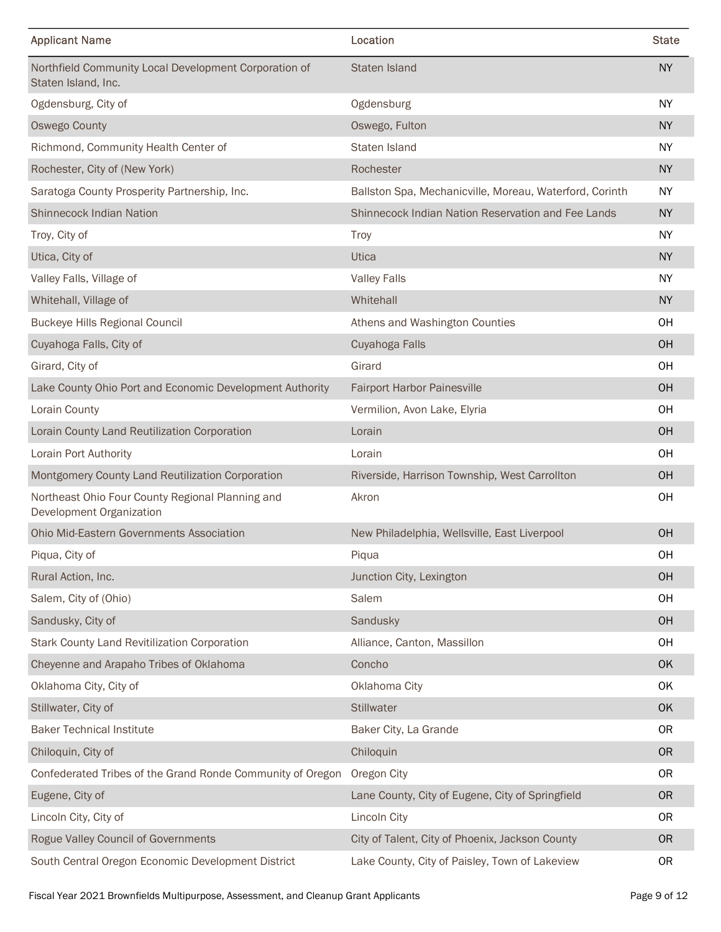| <b>Applicant Name</b>                                                               | Location                                                | <b>State</b> |
|-------------------------------------------------------------------------------------|---------------------------------------------------------|--------------|
| Northfield Community Local Development Corporation of<br>Staten Island, Inc.        | Staten Island                                           | <b>NY</b>    |
| Ogdensburg, City of                                                                 | Ogdensburg                                              | NY           |
| <b>Oswego County</b>                                                                | Oswego, Fulton                                          | <b>NY</b>    |
| Richmond, Community Health Center of                                                | Staten Island                                           | <b>NY</b>    |
| Rochester, City of (New York)                                                       | Rochester                                               | <b>NY</b>    |
| Saratoga County Prosperity Partnership, Inc.                                        | Ballston Spa, Mechanicville, Moreau, Waterford, Corinth | <b>NY</b>    |
| <b>Shinnecock Indian Nation</b>                                                     | Shinnecock Indian Nation Reservation and Fee Lands      | <b>NY</b>    |
| Troy, City of                                                                       | <b>Troy</b>                                             | NY           |
| Utica, City of                                                                      | Utica                                                   | <b>NY</b>    |
| Valley Falls, Village of                                                            | <b>Valley Falls</b>                                     | <b>NY</b>    |
| Whitehall, Village of                                                               | Whitehall                                               | <b>NY</b>    |
| <b>Buckeye Hills Regional Council</b>                                               | Athens and Washington Counties                          | OH           |
| Cuyahoga Falls, City of                                                             | Cuyahoga Falls                                          | OH           |
| Girard, City of                                                                     | Girard                                                  | OH           |
| Lake County Ohio Port and Economic Development Authority                            | Fairport Harbor Painesville                             | OH           |
| Lorain County                                                                       | Vermilion, Avon Lake, Elyria                            | OH           |
| Lorain County Land Reutilization Corporation                                        | Lorain                                                  | OH           |
| Lorain Port Authority                                                               | Lorain                                                  | OH           |
| Montgomery County Land Reutilization Corporation                                    | Riverside, Harrison Township, West Carrollton           | OH           |
| Northeast Ohio Four County Regional Planning and                                    | Akron                                                   | OH           |
| Development Organization                                                            |                                                         |              |
| Ohio Mid-Eastern Governments Association                                            | New Philadelphia, Wellsville, East Liverpool            | OH           |
| Piqua, City of                                                                      | Piqua                                                   | OH           |
| Rural Action, Inc.                                                                  | Junction City, Lexington                                | OH           |
| Salem, City of (Ohio)                                                               | Salem                                                   | OH           |
| Sandusky, City of                                                                   | Sandusky                                                | OH           |
| Stark County Land Revitilization Corporation                                        | Alliance, Canton, Massillon                             | OH           |
| Cheyenne and Arapaho Tribes of Oklahoma                                             | Concho                                                  | OK           |
| Oklahoma City, City of                                                              | Oklahoma City                                           | OK           |
| Stillwater, City of                                                                 | Stillwater                                              | OK           |
| <b>Baker Technical Institute</b>                                                    | Baker City, La Grande                                   | <b>OR</b>    |
| Chiloquin, City of                                                                  | Chiloquin                                               | <b>OR</b>    |
| Confederated Tribes of the Grand Ronde Community of Oregon Oregon City              |                                                         | 0R           |
| Eugene, City of                                                                     | Lane County, City of Eugene, City of Springfield        | OR           |
| Lincoln City, City of                                                               | Lincoln City                                            | 0R           |
| Rogue Valley Council of Governments                                                 | City of Talent, City of Phoenix, Jackson County         | OR           |
| South Central Oregon Economic Development District                                  | Lake County, City of Paisley, Town of Lakeview          | 0R           |
| Fiscal Year 2021 Brownfields Multipurpose, Assessment, and Cleanup Grant Applicants |                                                         | Page 9 of 12 |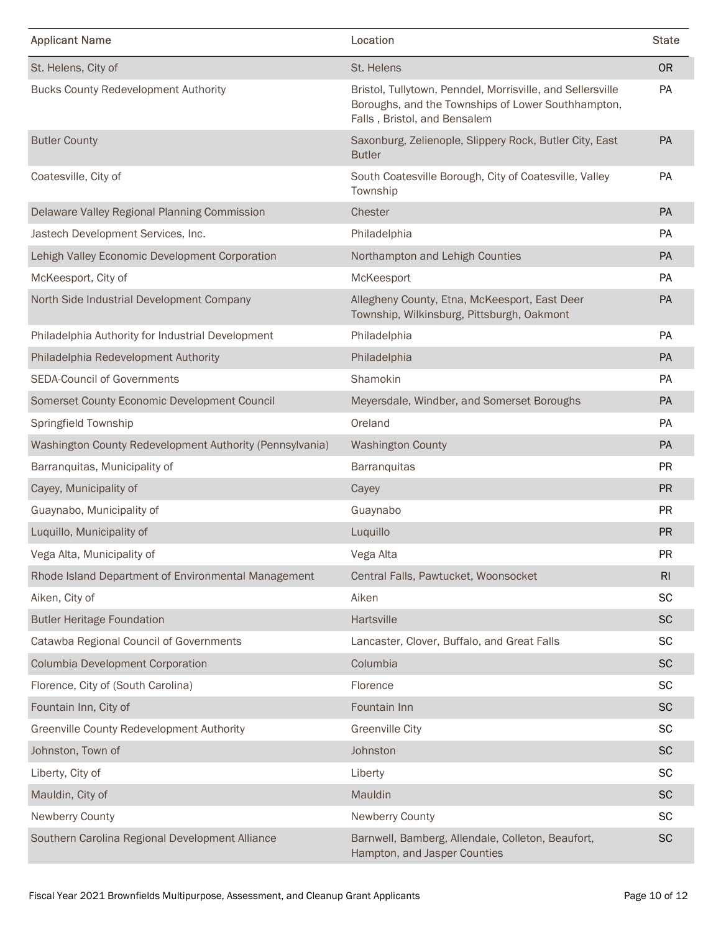| <b>Applicant Name</b>                                    | Location                                                                                                                                         | <b>State</b>  |
|----------------------------------------------------------|--------------------------------------------------------------------------------------------------------------------------------------------------|---------------|
| St. Helens, City of                                      | St. Helens                                                                                                                                       | <b>OR</b>     |
| <b>Bucks County Redevelopment Authority</b>              | Bristol, Tullytown, Penndel, Morrisville, and Sellersville<br>Boroughs, and the Townships of Lower Southhampton,<br>Falls, Bristol, and Bensalem | PA            |
| <b>Butler County</b>                                     | Saxonburg, Zelienople, Slippery Rock, Butler City, East<br><b>Butler</b>                                                                         | PA            |
| Coatesville, City of                                     | South Coatesville Borough, City of Coatesville, Valley<br>Township                                                                               | PA            |
| Delaware Valley Regional Planning Commission             | Chester                                                                                                                                          | PA            |
| Jastech Development Services, Inc.                       | Philadelphia                                                                                                                                     | <b>PA</b>     |
| Lehigh Valley Economic Development Corporation           | Northampton and Lehigh Counties                                                                                                                  | PA            |
| McKeesport, City of                                      | McKeesport                                                                                                                                       | PA            |
| North Side Industrial Development Company                | Allegheny County, Etna, McKeesport, East Deer<br>Township, Wilkinsburg, Pittsburgh, Oakmont                                                      | PA            |
| Philadelphia Authority for Industrial Development        | Philadelphia                                                                                                                                     | PA            |
| Philadelphia Redevelopment Authority                     | Philadelphia                                                                                                                                     | PA            |
| <b>SEDA-Council of Governments</b>                       | Shamokin                                                                                                                                         | PA            |
| Somerset County Economic Development Council             | Meyersdale, Windber, and Somerset Boroughs                                                                                                       | PA            |
| Springfield Township                                     | Oreland                                                                                                                                          | PA            |
| Washington County Redevelopment Authority (Pennsylvania) | <b>Washington County</b>                                                                                                                         | PA            |
| Barranquitas, Municipality of                            | Barranquitas                                                                                                                                     | PR            |
| Cayey, Municipality of                                   | Cayey                                                                                                                                            | PR            |
| Guaynabo, Municipality of                                | Guaynabo                                                                                                                                         | <b>PR</b>     |
| Luquillo, Municipality of                                | Luquillo                                                                                                                                         | PR            |
| Vega Alta, Municipality of                               | Vega Alta                                                                                                                                        | <b>PR</b>     |
| Rhode Island Department of Environmental Management      | Central Falls, Pawtucket, Woonsocket                                                                                                             | RI            |
| Aiken, City of                                           | Aiken                                                                                                                                            | <b>SC</b>     |
| <b>Butler Heritage Foundation</b>                        | Hartsville                                                                                                                                       | $\sf SC$      |
| Catawba Regional Council of Governments                  | Lancaster, Clover, Buffalo, and Great Falls                                                                                                      | <b>SC</b>     |
| Columbia Development Corporation                         | Columbia                                                                                                                                         | <b>SC</b>     |
| Florence, City of (South Carolina)                       | Florence                                                                                                                                         | <b>SC</b>     |
| Fountain Inn, City of                                    | Fountain Inn                                                                                                                                     | <b>SC</b>     |
| Greenville County Redevelopment Authority                | <b>Greenville City</b>                                                                                                                           | <b>SC</b>     |
| Johnston, Town of                                        | Johnston                                                                                                                                         | <b>SC</b>     |
| Liberty, City of                                         | Liberty                                                                                                                                          | <b>SC</b>     |
| Mauldin, City of                                         | Mauldin                                                                                                                                          | <b>SC</b>     |
| <b>Newberry County</b>                                   | Newberry County                                                                                                                                  | <b>SC</b>     |
| Southern Carolina Regional Development Alliance          | Barnwell, Bamberg, Allendale, Colleton, Beaufort,<br>Hampton, and Jasper Counties                                                                | $\mathsf{SC}$ |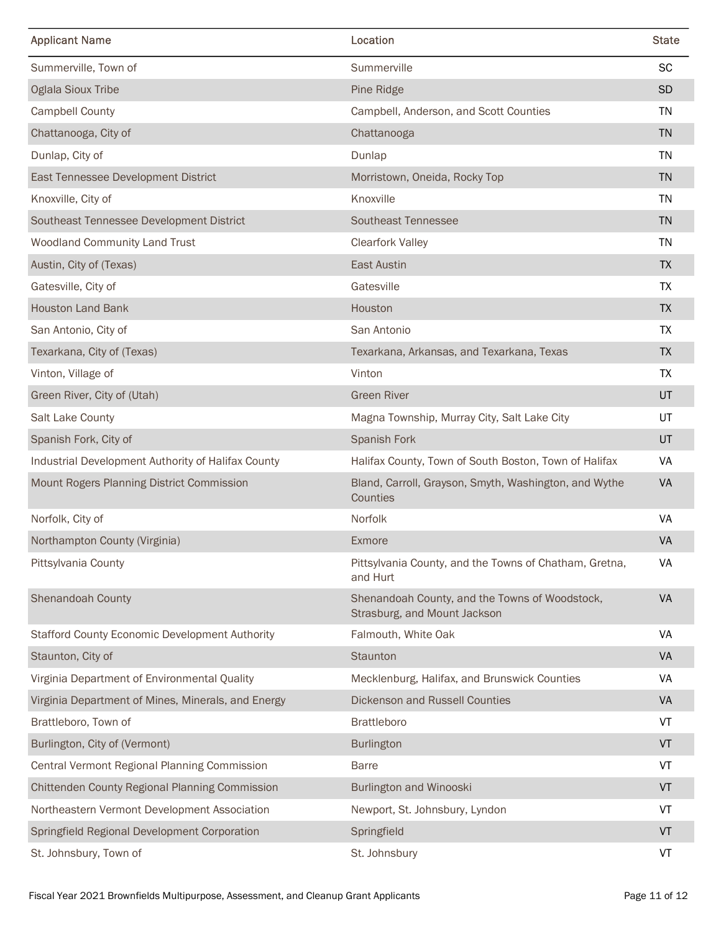| <b>Applicant Name</b>                              | Location                                                                       | <b>State</b> |
|----------------------------------------------------|--------------------------------------------------------------------------------|--------------|
| Summerville, Town of                               | Summerville                                                                    | <b>SC</b>    |
| <b>Oglala Sioux Tribe</b>                          | Pine Ridge                                                                     | SD           |
| Campbell County                                    | Campbell, Anderson, and Scott Counties                                         | TN           |
| Chattanooga, City of                               | Chattanooga                                                                    | <b>TN</b>    |
| Dunlap, City of                                    | Dunlap                                                                         | <b>TN</b>    |
| East Tennessee Development District                | Morristown, Oneida, Rocky Top                                                  | <b>TN</b>    |
| Knoxville, City of                                 | Knoxville                                                                      | TN           |
| Southeast Tennessee Development District           | Southeast Tennessee                                                            | <b>TN</b>    |
| Woodland Community Land Trust                      | <b>Clearfork Valley</b>                                                        | <b>TN</b>    |
| Austin, City of (Texas)                            | East Austin                                                                    | TΧ           |
| Gatesville, City of                                | Gatesville                                                                     | TX           |
| <b>Houston Land Bank</b>                           | Houston                                                                        | <b>TX</b>    |
| San Antonio, City of                               | San Antonio                                                                    | <b>TX</b>    |
| Texarkana, City of (Texas)                         | Texarkana, Arkansas, and Texarkana, Texas                                      | <b>TX</b>    |
| Vinton, Village of                                 | Vinton                                                                         | <b>TX</b>    |
| Green River, City of (Utah)                        | <b>Green River</b>                                                             | UT           |
| Salt Lake County                                   | Magna Township, Murray City, Salt Lake City                                    | UT           |
| Spanish Fork, City of                              | Spanish Fork                                                                   | UT           |
| Industrial Development Authority of Halifax County | Halifax County, Town of South Boston, Town of Halifax                          | VA           |
| Mount Rogers Planning District Commission          | Bland, Carroll, Grayson, Smyth, Washington, and Wythe<br>Counties              | VA           |
| Norfolk, City of                                   | Norfolk                                                                        | VA           |
| Northampton County (Virginia)                      | Exmore                                                                         | VA           |
| Pittsylvania County                                | Pittsylvania County, and the Towns of Chatham, Gretna,<br>and Hurt             | VA           |
| <b>Shenandoah County</b>                           | Shenandoah County, and the Towns of Woodstock,<br>Strasburg, and Mount Jackson | VA           |
| Stafford County Economic Development Authority     | Falmouth, White Oak                                                            | VA           |
| Staunton, City of                                  | Staunton                                                                       | VA           |
| Virginia Department of Environmental Quality       | Mecklenburg, Halifax, and Brunswick Counties                                   | VA           |
| Virginia Department of Mines, Minerals, and Energy | Dickenson and Russell Counties                                                 | VA           |
| Brattleboro, Town of                               | <b>Brattleboro</b>                                                             | VT           |
| Burlington, City of (Vermont)                      | Burlington                                                                     | VT           |
| Central Vermont Regional Planning Commission       | <b>Barre</b>                                                                   | VT           |
| Chittenden County Regional Planning Commission     | <b>Burlington and Winooski</b>                                                 | VT           |
| Northeastern Vermont Development Association       | Newport, St. Johnsbury, Lyndon                                                 | VT           |
| Springfield Regional Development Corporation       | Springfield                                                                    | ${\sf VT}$   |
| St. Johnsbury, Town of                             | St. Johnsbury                                                                  | VT           |